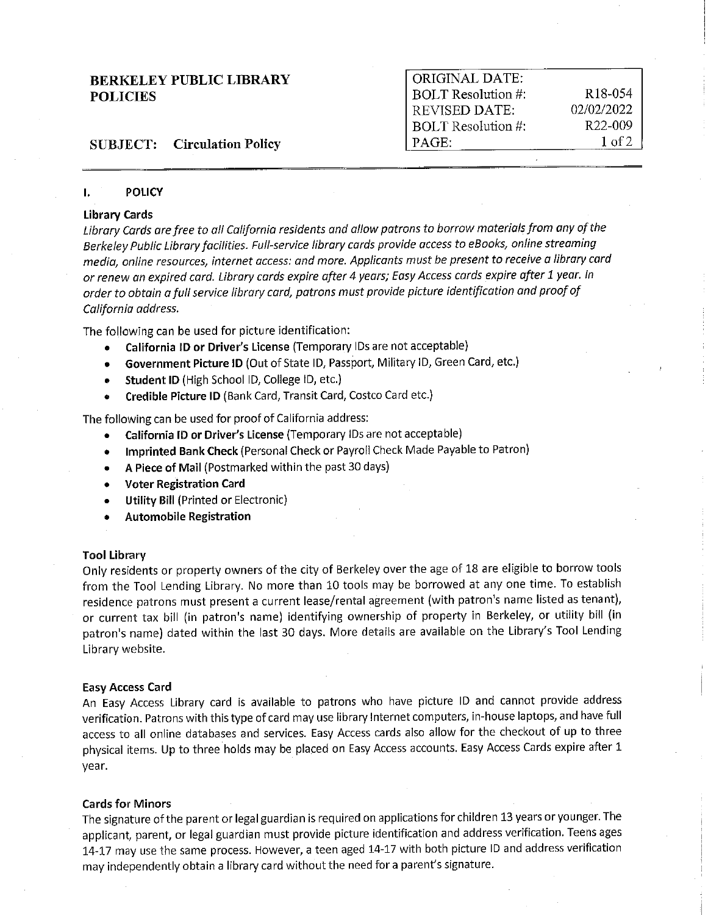| <b>BERKELEY PUBLIC LIBRARY</b>     | ORIGINAL DATE:     |                      |
|------------------------------------|--------------------|----------------------|
| <b>POLICIES</b>                    | BOLT Resolution #: | R <sub>18</sub> -054 |
|                                    | REVISED DATE:      | 02/02/2022           |
|                                    | BOLT Resolution #: | R <sub>22</sub> -009 |
| <b>SUBJECT:</b> Circulation Policy | PAGE               | 1 of 2               |

## I. **POLICY**

## **Library Cards**

*Library Cards are free to all California residents and allow patrons to borrow materials from any of the Berkeley Public Library facilities. Full-service library cards provide access to eBooks, on line streaming media, online resources, internet access: and more. Applicants must be present to receive a library cord or renew an expired card. Library cards expire after 4 years; Easy Access cards expire after 1 year. In order to obtain a full service library card, patrons must provide picture identification and proof of California address.* 

The following can be used for picture identification:

- **California** ID **or Driver's License** (Temporary IDs are not acceptable)
- **Government Picture ID** (Out of State ID, Passport, Military ID, Green Card, etc.)
- **Student ID** (High School ID, College ID, etc.)
- **Credible Picture ID** (Bank Card, Transit Card, Costco Card etc.)

The following can be used for proof of California address:

- **California** ID **or Driver's License** (Temporary IDs are not acceptable)
- **Imprinted Bank Check** (Personal Check or Payroll Check Made Payable to Patron)
- **A Piece of Mail** (Postmarked within the past 30 days)
- **Voter Registration Card**
- **Utility Bill** (Printed or Electronic)
- **Automobile Registration**

#### **Tool Library**

Only residents or property owners of the city of Berkeley over the age of 18 are eligible to borrow tools from the Tool Lending Library. No more than 10 tools may be borrowed at any one time. To establish residence patrons must present a current lease/rental agreement (with patron's name listed as tenant), or current tax bill (in patron's name) identifying ownership of property in Berkeley, or utility bill (in patron's name) dated within the last 30 days. More details are available on the Library's Tool Lending Library website.

#### **Easy Access Card**

An Easy Access Library card is available to patrons who have picture ID and cannot provide address verification. Patrons with this type of card may use library Internet computers, in-house laptops, and have full access to all online databases and services. Easy Access cards also allow for the checkout of up to three physical items. Up to three holds may be placed on Easy Access accounts. Easy Access Cards expire after 1 year.

# **Cards for Minors**

The signature of the parent or legal guardian is required on applications for children 13 years or younger. The applicant, parent, or legal guardian must provide picture identification and address verification. Teens ages 14-17 may use the same process. However, a teen aged 14-17 with both picture ID and address verification may independently obtain a library card without the need for a parent's signature.